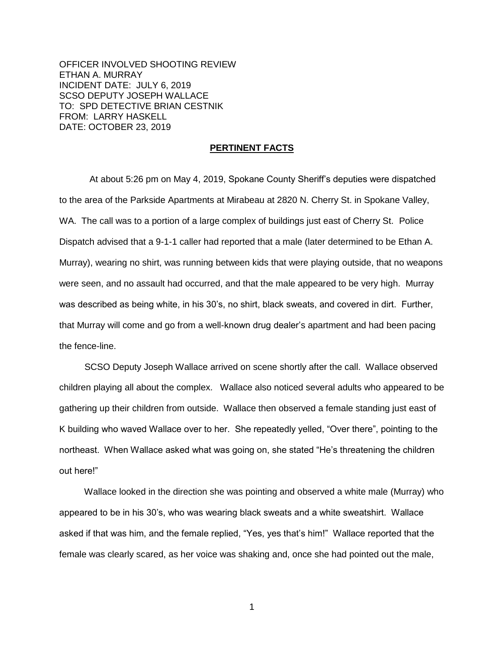OFFICER INVOLVED SHOOTING REVIEW ETHAN A. MURRAY INCIDENT DATE: JULY 6, 2019 SCSO DEPUTY JOSEPH WALLACE TO: SPD DETECTIVE BRIAN CESTNIK FROM: LARRY HASKELL DATE: OCTOBER 23, 2019

### **PERTINENT FACTS**

 At about 5:26 pm on May 4, 2019, Spokane County Sheriff's deputies were dispatched to the area of the Parkside Apartments at Mirabeau at 2820 N. Cherry St. in Spokane Valley, WA. The call was to a portion of a large complex of buildings just east of Cherry St. Police Dispatch advised that a 9-1-1 caller had reported that a male (later determined to be Ethan A. Murray), wearing no shirt, was running between kids that were playing outside, that no weapons were seen, and no assault had occurred, and that the male appeared to be very high. Murray was described as being white, in his 30's, no shirt, black sweats, and covered in dirt. Further, that Murray will come and go from a well-known drug dealer's apartment and had been pacing the fence-line.

 SCSO Deputy Joseph Wallace arrived on scene shortly after the call. Wallace observed children playing all about the complex. Wallace also noticed several adults who appeared to be gathering up their children from outside. Wallace then observed a female standing just east of K building who waved Wallace over to her. She repeatedly yelled, "Over there", pointing to the northeast. When Wallace asked what was going on, she stated "He's threatening the children out here!"

 Wallace looked in the direction she was pointing and observed a white male (Murray) who appeared to be in his 30's, who was wearing black sweats and a white sweatshirt. Wallace asked if that was him, and the female replied, "Yes, yes that's him!" Wallace reported that the female was clearly scared, as her voice was shaking and, once she had pointed out the male,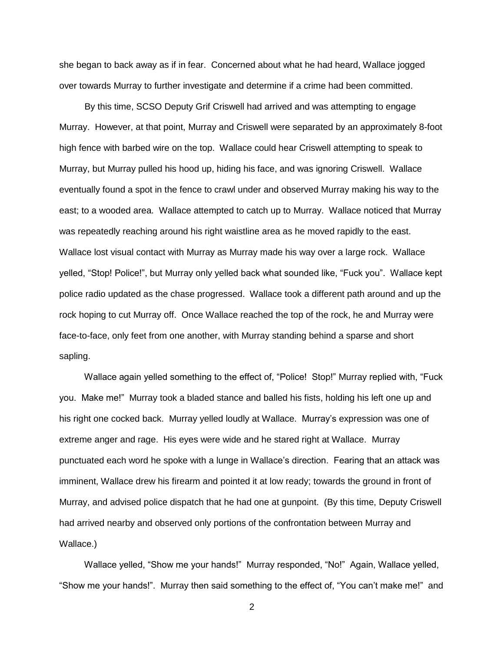she began to back away as if in fear. Concerned about what he had heard, Wallace jogged over towards Murray to further investigate and determine if a crime had been committed.

 By this time, SCSO Deputy Grif Criswell had arrived and was attempting to engage Murray. However, at that point, Murray and Criswell were separated by an approximately 8-foot high fence with barbed wire on the top. Wallace could hear Criswell attempting to speak to Murray, but Murray pulled his hood up, hiding his face, and was ignoring Criswell. Wallace eventually found a spot in the fence to crawl under and observed Murray making his way to the east; to a wooded area. Wallace attempted to catch up to Murray. Wallace noticed that Murray was repeatedly reaching around his right waistline area as he moved rapidly to the east. Wallace lost visual contact with Murray as Murray made his way over a large rock. Wallace yelled, "Stop! Police!", but Murray only yelled back what sounded like, "Fuck you". Wallace kept police radio updated as the chase progressed. Wallace took a different path around and up the rock hoping to cut Murray off. Once Wallace reached the top of the rock, he and Murray were face-to-face, only feet from one another, with Murray standing behind a sparse and short sapling.

 Wallace again yelled something to the effect of, "Police! Stop!" Murray replied with, "Fuck you. Make me!" Murray took a bladed stance and balled his fists, holding his left one up and his right one cocked back. Murray yelled loudly at Wallace. Murray's expression was one of extreme anger and rage. His eyes were wide and he stared right at Wallace. Murray punctuated each word he spoke with a lunge in Wallace's direction. Fearing that an attack was imminent, Wallace drew his firearm and pointed it at low ready; towards the ground in front of Murray, and advised police dispatch that he had one at gunpoint. (By this time, Deputy Criswell had arrived nearby and observed only portions of the confrontation between Murray and Wallace.)

 Wallace yelled, "Show me your hands!" Murray responded, "No!" Again, Wallace yelled, "Show me your hands!". Murray then said something to the effect of, "You can't make me!" and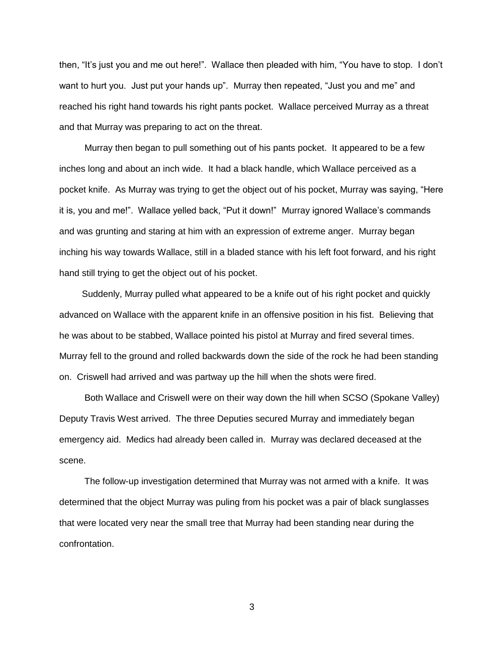then, "It's just you and me out here!". Wallace then pleaded with him, "You have to stop. I don't want to hurt you. Just put your hands up". Murray then repeated, "Just you and me" and reached his right hand towards his right pants pocket. Wallace perceived Murray as a threat and that Murray was preparing to act on the threat.

 Murray then began to pull something out of his pants pocket. It appeared to be a few inches long and about an inch wide. It had a black handle, which Wallace perceived as a pocket knife. As Murray was trying to get the object out of his pocket, Murray was saying, "Here it is, you and me!". Wallace yelled back, "Put it down!" Murray ignored Wallace's commands and was grunting and staring at him with an expression of extreme anger. Murray began inching his way towards Wallace, still in a bladed stance with his left foot forward, and his right hand still trying to get the object out of his pocket.

 Suddenly, Murray pulled what appeared to be a knife out of his right pocket and quickly advanced on Wallace with the apparent knife in an offensive position in his fist. Believing that he was about to be stabbed, Wallace pointed his pistol at Murray and fired several times. Murray fell to the ground and rolled backwards down the side of the rock he had been standing on. Criswell had arrived and was partway up the hill when the shots were fired.

 Both Wallace and Criswell were on their way down the hill when SCSO (Spokane Valley) Deputy Travis West arrived. The three Deputies secured Murray and immediately began emergency aid. Medics had already been called in. Murray was declared deceased at the scene.

 The follow-up investigation determined that Murray was not armed with a knife. It was determined that the object Murray was puling from his pocket was a pair of black sunglasses that were located very near the small tree that Murray had been standing near during the confrontation.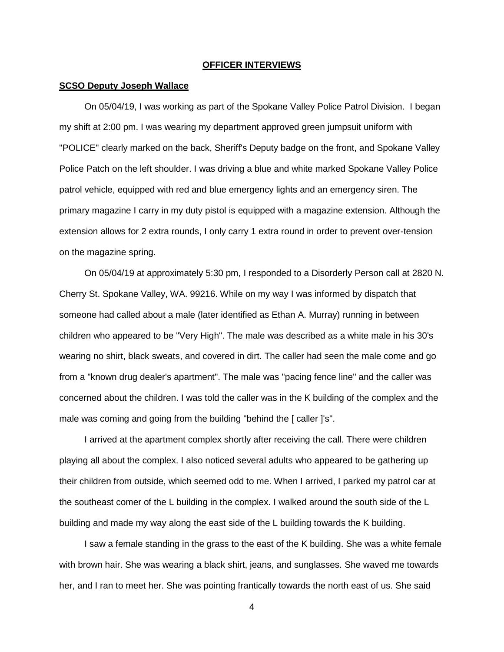#### **OFFICER INTERVIEWS**

### **SCSO Deputy Joseph Wallace**

 On 05/04/19, I was working as part of the Spokane Valley Police Patrol Division. I began my shift at 2:00 pm. I was wearing my department approved green jumpsuit uniform with "POLICE" clearly marked on the back, Sheriff's Deputy badge on the front, and Spokane Valley Police Patch on the left shoulder. I was driving a blue and white marked Spokane Valley Police patrol vehicle, equipped with red and blue emergency lights and an emergency siren. The primary magazine I carry in my duty pistol is equipped with a magazine extension. Although the extension allows for 2 extra rounds, I only carry 1 extra round in order to prevent over-tension on the magazine spring.

 On 05/04/19 at approximately 5:30 pm, I responded to a Disorderly Person call at 2820 N. Cherry St. Spokane Valley, WA. 99216. While on my way I was informed by dispatch that someone had called about a male (later identified as Ethan A. Murray) running in between children who appeared to be "Very High". The male was described as a white male in his 30's wearing no shirt, black sweats, and covered in dirt. The caller had seen the male come and go from a "known drug dealer's apartment". The male was "pacing fence line" and the caller was concerned about the children. I was told the caller was in the K building of the complex and the male was coming and going from the building "behind the [ caller ]'s".

 I arrived at the apartment complex shortly after receiving the call. There were children playing all about the complex. I also noticed several adults who appeared to be gathering up their children from outside, which seemed odd to me. When I arrived, I parked my patrol car at the southeast comer of the L building in the complex. I walked around the south side of the L building and made my way along the east side of the L building towards the K building.

 I saw a female standing in the grass to the east of the K building. She was a white female with brown hair. She was wearing a black shirt, jeans, and sunglasses. She waved me towards her, and I ran to meet her. She was pointing frantically towards the north east of us. She said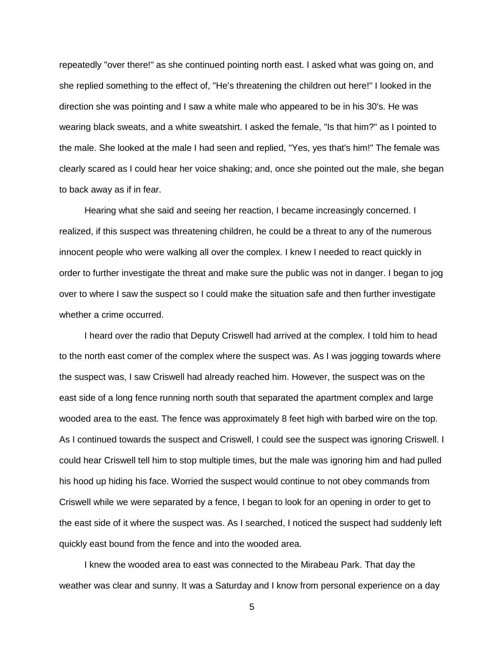repeatedly "over there!" as she continued pointing north east. I asked what was going on, and she replied something to the effect of, "He's threatening the children out here!" I looked in the direction she was pointing and I saw a white male who appeared to be in his 30's. He was wearing black sweats, and a white sweatshirt. I asked the female, "Is that him?" as I pointed to the male. She looked at the male I had seen and replied, "Yes, yes that's him!" The female was clearly scared as I could hear her voice shaking; and, once she pointed out the male, she began to back away as if in fear.

 Hearing what she said and seeing her reaction, I became increasingly concerned. I realized, if this suspect was threatening children, he could be a threat to any of the numerous innocent people who were walking all over the complex. I knew I needed to react quickly in order to further investigate the threat and make sure the public was not in danger. I began to jog over to where I saw the suspect so I could make the situation safe and then further investigate whether a crime occurred.

 I heard over the radio that Deputy Criswell had arrived at the complex. I told him to head to the north east comer of the complex where the suspect was. As I was jogging towards where the suspect was, I saw Criswell had already reached him. However, the suspect was on the east side of a long fence running north south that separated the apartment complex and large wooded area to the east. The fence was approximately 8 feet high with barbed wire on the top. As I continued towards the suspect and Criswell, I could see the suspect was ignoring Criswell. I could hear Criswell tell him to stop multiple times, but the male was ignoring him and had pulled his hood up hiding his face. Worried the suspect would continue to not obey commands from Criswell while we were separated by a fence, I began to look for an opening in order to get to the east side of it where the suspect was. As I searched, I noticed the suspect had suddenly left quickly east bound from the fence and into the wooded area.

 I knew the wooded area to east was connected to the Mirabeau Park. That day the weather was clear and sunny. It was a Saturday and I know from personal experience on a day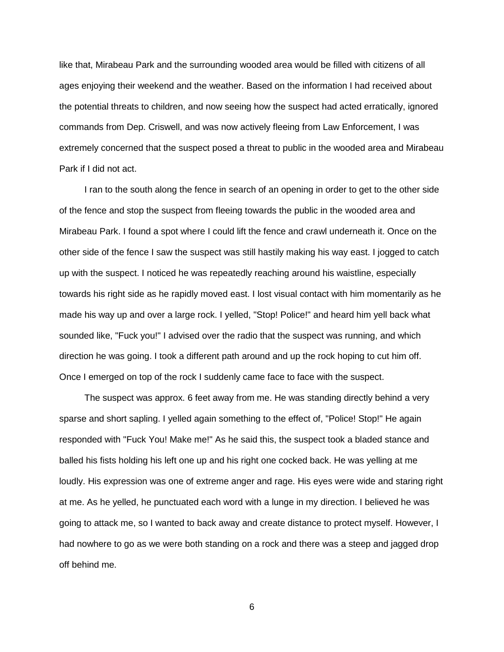like that, Mirabeau Park and the surrounding wooded area would be filled with citizens of all ages enjoying their weekend and the weather. Based on the information I had received about the potential threats to children, and now seeing how the suspect had acted erratically, ignored commands from Dep. Criswell, and was now actively fleeing from Law Enforcement, I was extremely concerned that the suspect posed a threat to public in the wooded area and Mirabeau Park if I did not act.

 I ran to the south along the fence in search of an opening in order to get to the other side of the fence and stop the suspect from fleeing towards the public in the wooded area and Mirabeau Park. I found a spot where I could lift the fence and crawl underneath it. Once on the other side of the fence I saw the suspect was still hastily making his way east. I jogged to catch up with the suspect. I noticed he was repeatedly reaching around his waistline, especially towards his right side as he rapidly moved east. I lost visual contact with him momentarily as he made his way up and over a large rock. I yelled, "Stop! Police!" and heard him yell back what sounded like, "Fuck you!" I advised over the radio that the suspect was running, and which direction he was going. I took a different path around and up the rock hoping to cut him off. Once I emerged on top of the rock I suddenly came face to face with the suspect.

 The suspect was approx. 6 feet away from me. He was standing directly behind a very sparse and short sapling. I yelled again something to the effect of, "Police! Stop!" He again responded with "Fuck You! Make me!" As he said this, the suspect took a bladed stance and balled his fists holding his left one up and his right one cocked back. He was yelling at me loudly. His expression was one of extreme anger and rage. His eyes were wide and staring right at me. As he yelled, he punctuated each word with a lunge in my direction. I believed he was going to attack me, so I wanted to back away and create distance to protect myself. However, I had nowhere to go as we were both standing on a rock and there was a steep and jagged drop off behind me.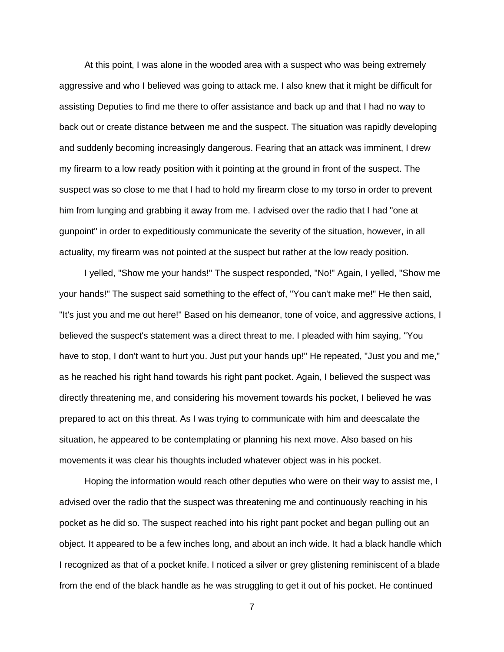At this point, I was alone in the wooded area with a suspect who was being extremely aggressive and who I believed was going to attack me. I also knew that it might be difficult for assisting Deputies to find me there to offer assistance and back up and that I had no way to back out or create distance between me and the suspect. The situation was rapidly developing and suddenly becoming increasingly dangerous. Fearing that an attack was imminent, I drew my firearm to a low ready position with it pointing at the ground in front of the suspect. The suspect was so close to me that I had to hold my firearm close to my torso in order to prevent him from lunging and grabbing it away from me. I advised over the radio that I had "one at gunpoint" in order to expeditiously communicate the severity of the situation, however, in all actuality, my firearm was not pointed at the suspect but rather at the low ready position.

 I yelled, "Show me your hands!" The suspect responded, "No!" Again, I yelled, "Show me your hands!" The suspect said something to the effect of, "You can't make me!" He then said, "It's just you and me out here!" Based on his demeanor, tone of voice, and aggressive actions, I believed the suspect's statement was a direct threat to me. I pleaded with him saying, "You have to stop, I don't want to hurt you. Just put your hands up!" He repeated, "Just you and me," as he reached his right hand towards his right pant pocket. Again, I believed the suspect was directly threatening me, and considering his movement towards his pocket, I believed he was prepared to act on this threat. As I was trying to communicate with him and deescalate the situation, he appeared to be contemplating or planning his next move. Also based on his movements it was clear his thoughts included whatever object was in his pocket.

 Hoping the information would reach other deputies who were on their way to assist me, I advised over the radio that the suspect was threatening me and continuously reaching in his pocket as he did so. The suspect reached into his right pant pocket and began pulling out an object. It appeared to be a few inches long, and about an inch wide. It had a black handle which I recognized as that of a pocket knife. I noticed a silver or grey glistening reminiscent of a blade from the end of the black handle as he was struggling to get it out of his pocket. He continued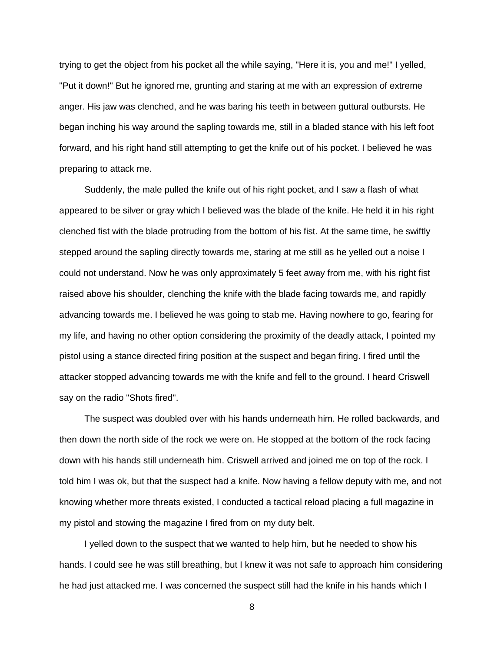trying to get the object from his pocket all the while saying, "Here it is, you and me!" I yelled, "Put it down!" But he ignored me, grunting and staring at me with an expression of extreme anger. His jaw was clenched, and he was baring his teeth in between guttural outbursts. He began inching his way around the sapling towards me, still in a bladed stance with his left foot forward, and his right hand still attempting to get the knife out of his pocket. I believed he was preparing to attack me.

 Suddenly, the male pulled the knife out of his right pocket, and I saw a flash of what appeared to be silver or gray which I believed was the blade of the knife. He held it in his right clenched fist with the blade protruding from the bottom of his fist. At the same time, he swiftly stepped around the sapling directly towards me, staring at me still as he yelled out a noise I could not understand. Now he was only approximately 5 feet away from me, with his right fist raised above his shoulder, clenching the knife with the blade facing towards me, and rapidly advancing towards me. I believed he was going to stab me. Having nowhere to go, fearing for my life, and having no other option considering the proximity of the deadly attack, I pointed my pistol using a stance directed firing position at the suspect and began firing. I fired until the attacker stopped advancing towards me with the knife and fell to the ground. I heard Criswell say on the radio "Shots fired".

 The suspect was doubled over with his hands underneath him. He rolled backwards, and then down the north side of the rock we were on. He stopped at the bottom of the rock facing down with his hands still underneath him. Criswell arrived and joined me on top of the rock. I told him I was ok, but that the suspect had a knife. Now having a fellow deputy with me, and not knowing whether more threats existed, I conducted a tactical reload placing a full magazine in my pistol and stowing the magazine I fired from on my duty belt.

 I yelled down to the suspect that we wanted to help him, but he needed to show his hands. I could see he was still breathing, but I knew it was not safe to approach him considering he had just attacked me. I was concerned the suspect still had the knife in his hands which I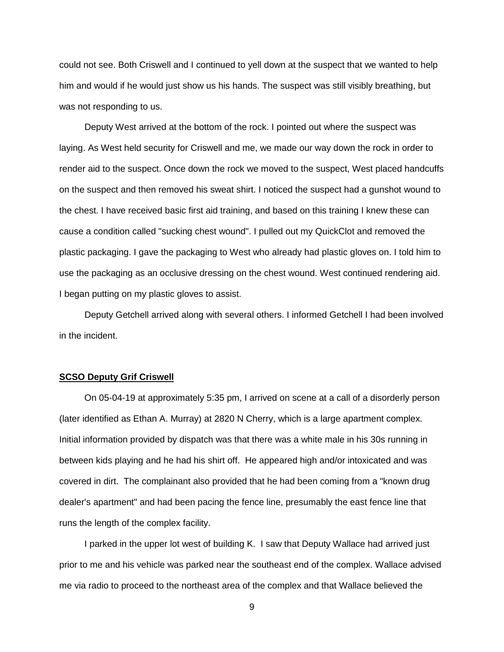could not see. Both Criswell and I continued to yell down at the suspect that we wanted to help him and would if he would just show us his hands. The suspect was still visibly breathing, but was not responding to us.

 Deputy West arrived at the bottom of the rock. I pointed out where the suspect was laying. As West held security for Criswell and me, we made our way down the rock in order to render aid to the suspect. Once down the rock we moved to the suspect, West placed handcuffs on the suspect and then removed his sweat shirt. I noticed the suspect had a gunshot wound to the chest. I have received basic first aid training, and based on this training I knew these can cause a condition called "sucking chest wound". I pulled out my QuickClot and removed the plastic packaging. I gave the packaging to West who already had plastic gloves on. I told him to use the packaging as an occlusive dressing on the chest wound. West continued rendering aid. I began putting on my plastic gloves to assist.

 Deputy Getchell arrived along with several others. I informed Getchell I had been involved in the incident.

# **SCSO Deputy Grif Criswell**

 On 05-04-19 at approximately 5:35 pm, I arrived on scene at a call of a disorderly person (later identified as Ethan A. Murray) at 2820 N Cherry, which is a large apartment complex. Initial information provided by dispatch was that there was a white male in his 30s running in between kids playing and he had his shirt off. He appeared high and/or intoxicated and was covered in dirt. The complainant also provided that he had been coming from a "known drug dealer's apartment" and had been pacing the fence line, presumably the east fence line that runs the length of the complex facility.

 I parked in the upper lot west of building K. I saw that Deputy Wallace had arrived just prior to me and his vehicle was parked near the southeast end of the complex. Wallace advised me via radio to proceed to the northeast area of the complex and that Wallace believed the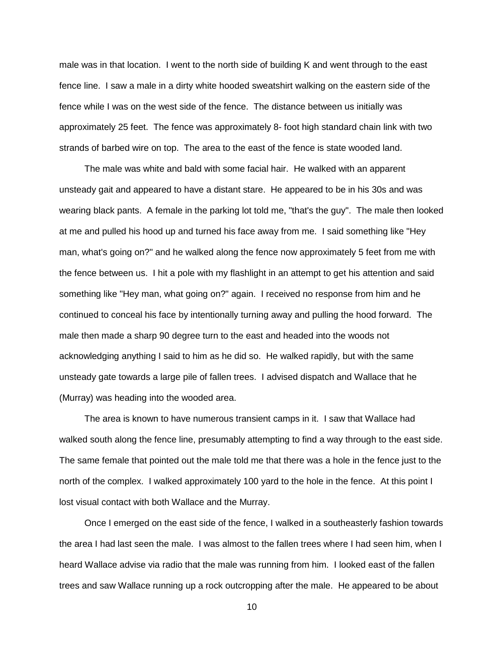male was in that location. I went to the north side of building K and went through to the east fence line. I saw a male in a dirty white hooded sweatshirt walking on the eastern side of the fence while I was on the west side of the fence. The distance between us initially was approximately 25 feet. The fence was approximately 8- foot high standard chain link with two strands of barbed wire on top. The area to the east of the fence is state wooded land.

 The male was white and bald with some facial hair. He walked with an apparent unsteady gait and appeared to have a distant stare. He appeared to be in his 30s and was wearing black pants. A female in the parking lot told me, "that's the guy". The male then looked at me and pulled his hood up and turned his face away from me. I said something like "Hey man, what's going on?" and he walked along the fence now approximately 5 feet from me with the fence between us. I hit a pole with my flashlight in an attempt to get his attention and said something like "Hey man, what going on?" again. I received no response from him and he continued to conceal his face by intentionally turning away and pulling the hood forward. The male then made a sharp 90 degree turn to the east and headed into the woods not acknowledging anything I said to him as he did so. He walked rapidly, but with the same unsteady gate towards a large pile of fallen trees. I advised dispatch and Wallace that he (Murray) was heading into the wooded area.

 The area is known to have numerous transient camps in it. I saw that Wallace had walked south along the fence line, presumably attempting to find a way through to the east side. The same female that pointed out the male told me that there was a hole in the fence just to the north of the complex. I walked approximately 100 yard to the hole in the fence. At this point I lost visual contact with both Wallace and the Murray.

 Once I emerged on the east side of the fence, I walked in a southeasterly fashion towards the area I had last seen the male. I was almost to the fallen trees where I had seen him, when I heard Wallace advise via radio that the male was running from him. I looked east of the fallen trees and saw Wallace running up a rock outcropping after the male. He appeared to be about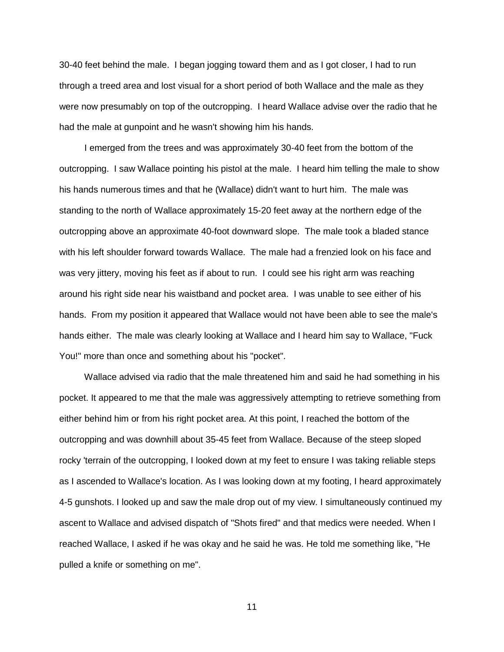30-40 feet behind the male. I began jogging toward them and as I got closer, I had to run through a treed area and lost visual for a short period of both Wallace and the male as they were now presumably on top of the outcropping. I heard Wallace advise over the radio that he had the male at gunpoint and he wasn't showing him his hands.

 I emerged from the trees and was approximately 30-40 feet from the bottom of the outcropping. I saw Wallace pointing his pistol at the male. I heard him telling the male to show his hands numerous times and that he (Wallace) didn't want to hurt him. The male was standing to the north of Wallace approximately 15-20 feet away at the northern edge of the outcropping above an approximate 40-foot downward slope. The male took a bladed stance with his left shoulder forward towards Wallace. The male had a frenzied look on his face and was very jittery, moving his feet as if about to run. I could see his right arm was reaching around his right side near his waistband and pocket area. I was unable to see either of his hands. From my position it appeared that Wallace would not have been able to see the male's hands either. The male was clearly looking at Wallace and I heard him say to Wallace, "Fuck You!" more than once and something about his "pocket".

 Wallace advised via radio that the male threatened him and said he had something in his pocket. It appeared to me that the male was aggressively attempting to retrieve something from either behind him or from his right pocket area. At this point, I reached the bottom of the outcropping and was downhill about 35-45 feet from Wallace. Because of the steep sloped rocky 'terrain of the outcropping, I looked down at my feet to ensure I was taking reliable steps as I ascended to Wallace's location. As I was looking down at my footing, I heard approximately 4-5 gunshots. I looked up and saw the male drop out of my view. I simultaneously continued my ascent to Wallace and advised dispatch of "Shots fired" and that medics were needed. When I reached Wallace, I asked if he was okay and he said he was. He told me something like, "He pulled a knife or something on me".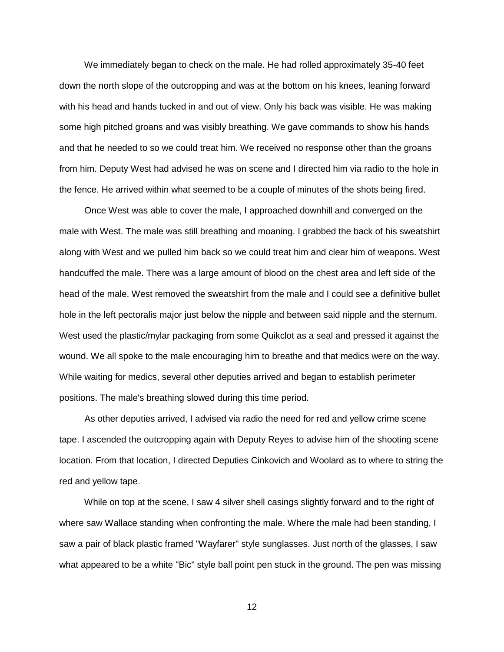We immediately began to check on the male. He had rolled approximately 35-40 feet down the north slope of the outcropping and was at the bottom on his knees, leaning forward with his head and hands tucked in and out of view. Only his back was visible. He was making some high pitched groans and was visibly breathing. We gave commands to show his hands and that he needed to so we could treat him. We received no response other than the groans from him. Deputy West had advised he was on scene and I directed him via radio to the hole in the fence. He arrived within what seemed to be a couple of minutes of the shots being fired.

 Once West was able to cover the male, I approached downhill and converged on the male with West. The male was still breathing and moaning. I grabbed the back of his sweatshirt along with West and we pulled him back so we could treat him and clear him of weapons. West handcuffed the male. There was a large amount of blood on the chest area and left side of the head of the male. West removed the sweatshirt from the male and I could see a definitive bullet hole in the left pectoralis major just below the nipple and between said nipple and the sternum. West used the plastic/mylar packaging from some Quikclot as a seal and pressed it against the wound. We all spoke to the male encouraging him to breathe and that medics were on the way. While waiting for medics, several other deputies arrived and began to establish perimeter positions. The male's breathing slowed during this time period.

 As other deputies arrived, I advised via radio the need for red and yellow crime scene tape. I ascended the outcropping again with Deputy Reyes to advise him of the shooting scene location. From that location, I directed Deputies Cinkovich and Woolard as to where to string the red and yellow tape.

 While on top at the scene, I saw 4 silver shell casings slightly forward and to the right of where saw Wallace standing when confronting the male. Where the male had been standing, I saw a pair of black plastic framed "Wayfarer" style sunglasses. Just north of the glasses, I saw what appeared to be a white "Bic" style ball point pen stuck in the ground. The pen was missing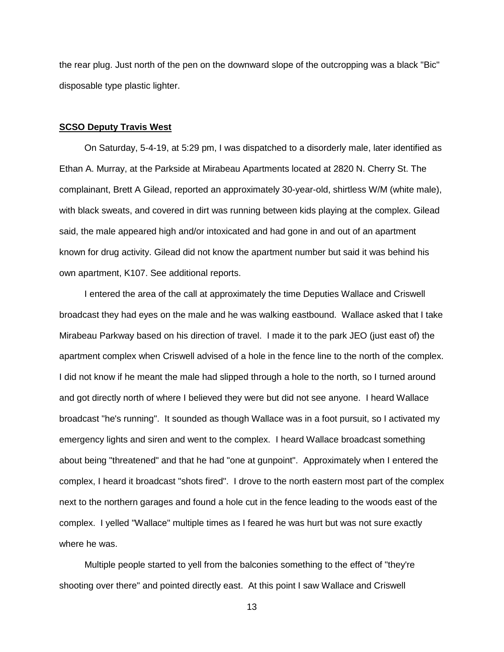the rear plug. Just north of the pen on the downward slope of the outcropping was a black "Bic" disposable type plastic lighter.

### **SCSO Deputy Travis West**

 On Saturday, 5-4-19, at 5:29 pm, I was dispatched to a disorderly male, later identified as Ethan A. Murray, at the Parkside at Mirabeau Apartments located at 2820 N. Cherry St. The complainant, Brett A Gilead, reported an approximately 30-year-old, shirtless W/M (white male), with black sweats, and covered in dirt was running between kids playing at the complex. Gilead said, the male appeared high and/or intoxicated and had gone in and out of an apartment known for drug activity. Gilead did not know the apartment number but said it was behind his own apartment, K107. See additional reports.

 I entered the area of the call at approximately the time Deputies Wallace and Criswell broadcast they had eyes on the male and he was walking eastbound. Wallace asked that I take Mirabeau Parkway based on his direction of travel. I made it to the park JEO (just east of) the apartment complex when Criswell advised of a hole in the fence line to the north of the complex. I did not know if he meant the male had slipped through a hole to the north, so I turned around and got directly north of where I believed they were but did not see anyone. I heard Wallace broadcast "he's running". It sounded as though Wallace was in a foot pursuit, so I activated my emergency lights and siren and went to the complex. I heard Wallace broadcast something about being "threatened" and that he had "one at gunpoint". Approximately when I entered the complex, I heard it broadcast "shots fired". I drove to the north eastern most part of the complex next to the northern garages and found a hole cut in the fence leading to the woods east of the complex. I yelled "Wallace" multiple times as I feared he was hurt but was not sure exactly where he was.

 Multiple people started to yell from the balconies something to the effect of "they're shooting over there" and pointed directly east. At this point I saw Wallace and Criswell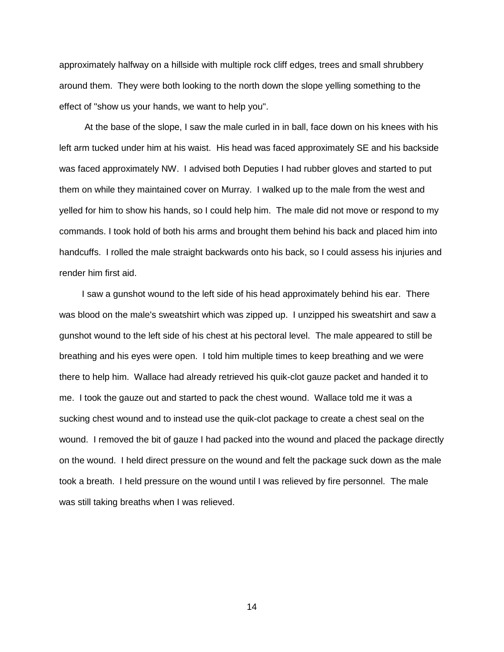approximately halfway on a hillside with multiple rock cliff edges, trees and small shrubbery around them. They were both looking to the north down the slope yelling something to the effect of "show us your hands, we want to help you".

 At the base of the slope, I saw the male curled in in ball, face down on his knees with his left arm tucked under him at his waist. His head was faced approximately SE and his backside was faced approximately NW. I advised both Deputies I had rubber gloves and started to put them on while they maintained cover on Murray. I walked up to the male from the west and yelled for him to show his hands, so I could help him. The male did not move or respond to my commands. I took hold of both his arms and brought them behind his back and placed him into handcuffs. I rolled the male straight backwards onto his back, so I could assess his injuries and render him first aid.

 I saw a gunshot wound to the left side of his head approximately behind his ear. There was blood on the male's sweatshirt which was zipped up. I unzipped his sweatshirt and saw a gunshot wound to the left side of his chest at his pectoral level. The male appeared to still be breathing and his eyes were open. I told him multiple times to keep breathing and we were there to help him. Wallace had already retrieved his quik-clot gauze packet and handed it to me. I took the gauze out and started to pack the chest wound. Wallace told me it was a sucking chest wound and to instead use the quik-clot package to create a chest seal on the wound. I removed the bit of gauze I had packed into the wound and placed the package directly on the wound. I held direct pressure on the wound and felt the package suck down as the male took a breath. I held pressure on the wound until I was relieved by fire personnel. The male was still taking breaths when I was relieved.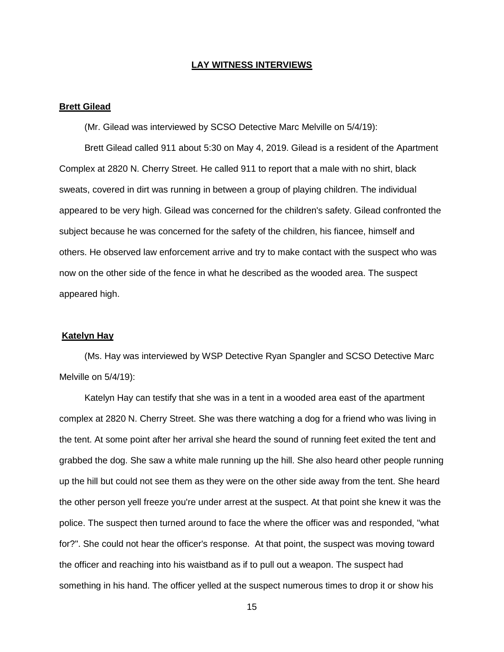#### **LAY WITNESS INTERVIEWS**

#### **Brett Gilead**

(Mr. Gilead was interviewed by SCSO Detective Marc Melville on 5/4/19):

 Brett Gilead called 911 about 5:30 on May 4, 2019. Gilead is a resident of the Apartment Complex at 2820 N. Cherry Street. He called 911 to report that a male with no shirt, black sweats, covered in dirt was running in between a group of playing children. The individual appeared to be very high. Gilead was concerned for the children's safety. Gilead confronted the subject because he was concerned for the safety of the children, his fiancee, himself and others. He observed law enforcement arrive and try to make contact with the suspect who was now on the other side of the fence in what he described as the wooded area. The suspect appeared high.

# **Katelyn Hay**

 (Ms. Hay was interviewed by WSP Detective Ryan Spangler and SCSO Detective Marc Melville on 5/4/19):

 Katelyn Hay can testify that she was in a tent in a wooded area east of the apartment complex at 2820 N. Cherry Street. She was there watching a dog for a friend who was living in the tent. At some point after her arrival she heard the sound of running feet exited the tent and grabbed the dog. She saw a white male running up the hill. She also heard other people running up the hill but could not see them as they were on the other side away from the tent. She heard the other person yell freeze you're under arrest at the suspect. At that point she knew it was the police. The suspect then turned around to face the where the officer was and responded, "what for?". She could not hear the officer's response. At that point, the suspect was moving toward the officer and reaching into his waistband as if to pull out a weapon. The suspect had something in his hand. The officer yelled at the suspect numerous times to drop it or show his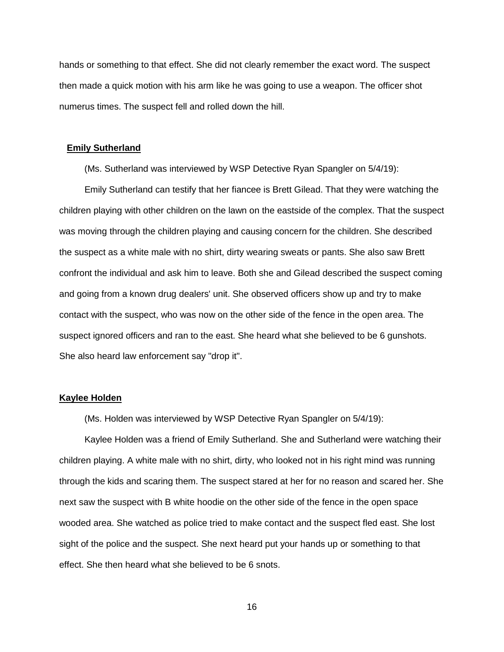hands or something to that effect. She did not clearly remember the exact word. The suspect then made a quick motion with his arm like he was going to use a weapon. The officer shot numerus times. The suspect fell and rolled down the hill.

#### **Emily Sutherland**

(Ms. Sutherland was interviewed by WSP Detective Ryan Spangler on 5/4/19):

 Emily Sutherland can testify that her fiancee is Brett Gilead. That they were watching the children playing with other children on the lawn on the eastside of the complex. That the suspect was moving through the children playing and causing concern for the children. She described the suspect as a white male with no shirt, dirty wearing sweats or pants. She also saw Brett confront the individual and ask him to leave. Both she and Gilead described the suspect coming and going from a known drug dealers' unit. She observed officers show up and try to make contact with the suspect, who was now on the other side of the fence in the open area. The suspect ignored officers and ran to the east. She heard what she believed to be 6 gunshots. She also heard law enforcement say "drop it".

# **Kaylee Holden**

(Ms. Holden was interviewed by WSP Detective Ryan Spangler on 5/4/19):

 Kaylee Holden was a friend of Emily Sutherland. She and Sutherland were watching their children playing. A white male with no shirt, dirty, who looked not in his right mind was running through the kids and scaring them. The suspect stared at her for no reason and scared her. She next saw the suspect with B white hoodie on the other side of the fence in the open space wooded area. She watched as police tried to make contact and the suspect fled east. She lost sight of the police and the suspect. She next heard put your hands up or something to that effect. She then heard what she believed to be 6 snots.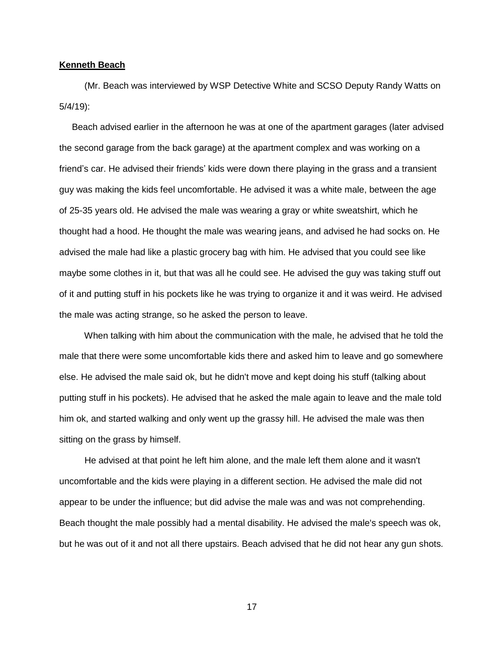#### **Kenneth Beach**

 (Mr. Beach was interviewed by WSP Detective White and SCSO Deputy Randy Watts on 5/4/19):

 Beach advised earlier in the afternoon he was at one of the apartment garages (later advised the second garage from the back garage) at the apartment complex and was working on a friend's car. He advised their friends' kids were down there playing in the grass and a transient guy was making the kids feel uncomfortable. He advised it was a white male, between the age of 25-35 years old. He advised the male was wearing a gray or white sweatshirt, which he thought had a hood. He thought the male was wearing jeans, and advised he had socks on. He advised the male had like a plastic grocery bag with him. He advised that you could see like maybe some clothes in it, but that was all he could see. He advised the guy was taking stuff out of it and putting stuff in his pockets like he was trying to organize it and it was weird. He advised the male was acting strange, so he asked the person to leave.

 When talking with him about the communication with the male, he advised that he told the male that there were some uncomfortable kids there and asked him to leave and go somewhere else. He advised the male said ok, but he didn't move and kept doing his stuff (talking about putting stuff in his pockets). He advised that he asked the male again to leave and the male told him ok, and started walking and only went up the grassy hill. He advised the male was then sitting on the grass by himself.

 He advised at that point he left him alone, and the male left them alone and it wasn't uncomfortable and the kids were playing in a different section. He advised the male did not appear to be under the influence; but did advise the male was and was not comprehending. Beach thought the male possibly had a mental disability. He advised the male's speech was ok, but he was out of it and not all there upstairs. Beach advised that he did not hear any gun shots.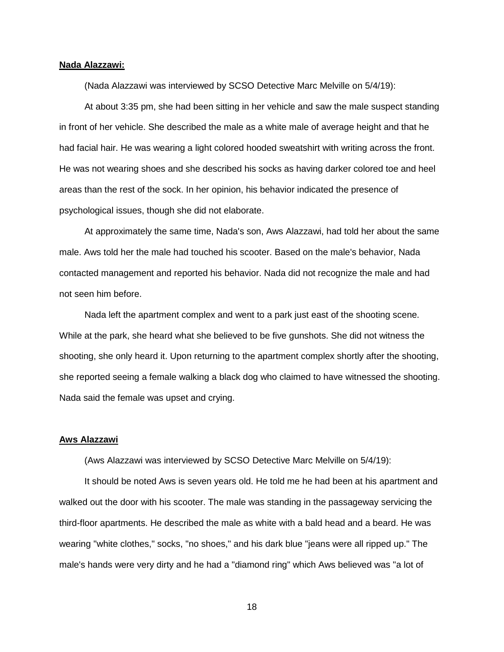#### **Nada Alazzawi:**

(Nada Alazzawi was interviewed by SCSO Detective Marc Melville on 5/4/19):

 At about 3:35 pm, she had been sitting in her vehicle and saw the male suspect standing in front of her vehicle. She described the male as a white male of average height and that he had facial hair. He was wearing a light colored hooded sweatshirt with writing across the front. He was not wearing shoes and she described his socks as having darker colored toe and heel areas than the rest of the sock. In her opinion, his behavior indicated the presence of psychological issues, though she did not elaborate.

 At approximately the same time, Nada's son, Aws Alazzawi, had told her about the same male. Aws told her the male had touched his scooter. Based on the male's behavior, Nada contacted management and reported his behavior. Nada did not recognize the male and had not seen him before.

 Nada left the apartment complex and went to a park just east of the shooting scene. While at the park, she heard what she believed to be five gunshots. She did not witness the shooting, she only heard it. Upon returning to the apartment complex shortly after the shooting, she reported seeing a female walking a black dog who claimed to have witnessed the shooting. Nada said the female was upset and crying.

### **Aws Alazzawi**

(Aws Alazzawi was interviewed by SCSO Detective Marc Melville on 5/4/19):

 It should be noted Aws is seven years old. He told me he had been at his apartment and walked out the door with his scooter. The male was standing in the passageway servicing the third-floor apartments. He described the male as white with a bald head and a beard. He was wearing "white clothes," socks, "no shoes," and his dark blue "jeans were all ripped up." The male's hands were very dirty and he had a "diamond ring" which Aws believed was "a lot of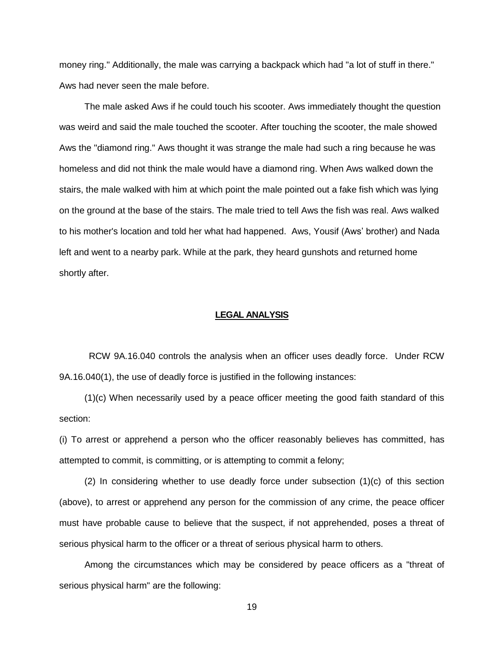money ring." Additionally, the male was carrying a backpack which had "a lot of stuff in there." Aws had never seen the male before.

 The male asked Aws if he could touch his scooter. Aws immediately thought the question was weird and said the male touched the scooter. After touching the scooter, the male showed Aws the "diamond ring." Aws thought it was strange the male had such a ring because he was homeless and did not think the male would have a diamond ring. When Aws walked down the stairs, the male walked with him at which point the male pointed out a fake fish which was lying on the ground at the base of the stairs. The male tried to tell Aws the fish was real. Aws walked to his mother's location and told her what had happened. Aws, Yousif (Aws' brother) and Nada left and went to a nearby park. While at the park, they heard gunshots and returned home shortly after.

#### **LEGAL ANALYSIS**

RCW 9A.16.040 controls the analysis when an officer uses deadly force. Under RCW 9A.16.040(1), the use of deadly force is justified in the following instances:

 (1)(c) When necessarily used by a peace officer meeting the good faith standard of this section:

(i) To arrest or apprehend a person who the officer reasonably believes has committed, has attempted to commit, is committing, or is attempting to commit a felony;

 $(2)$  In considering whether to use deadly force under subsection  $(1)(c)$  of this section (above), to arrest or apprehend any person for the commission of any crime, the peace officer must have probable cause to believe that the suspect, if not apprehended, poses a threat of serious physical harm to the officer or a threat of serious physical harm to others.

 Among the circumstances which may be considered by peace officers as a "threat of serious physical harm" are the following: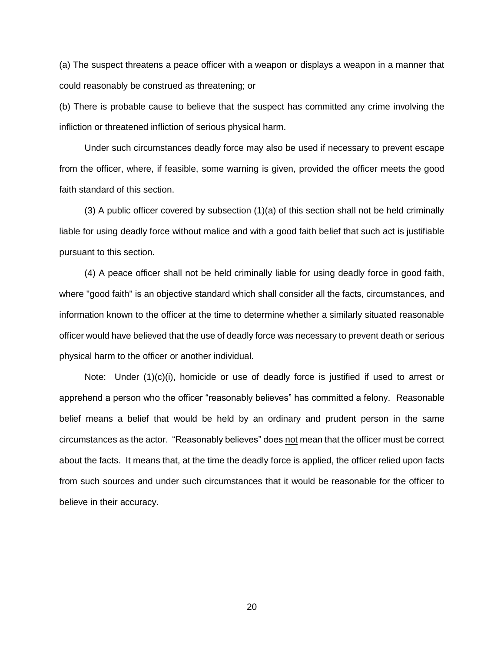(a) The suspect threatens a peace officer with a weapon or displays a weapon in a manner that could reasonably be construed as threatening; or

(b) There is probable cause to believe that the suspect has committed any crime involving the infliction or threatened infliction of serious physical harm.

 Under such circumstances deadly force may also be used if necessary to prevent escape from the officer, where, if feasible, some warning is given, provided the officer meets the good faith standard of this section.

 (3) A public officer covered by subsection (1)(a) of this section shall not be held criminally liable for using deadly force without malice and with a good faith belief that such act is justifiable pursuant to this section.

 (4) A peace officer shall not be held criminally liable for using deadly force in good faith, where "good faith" is an objective standard which shall consider all the facts, circumstances, and information known to the officer at the time to determine whether a similarly situated reasonable officer would have believed that the use of deadly force was necessary to prevent death or serious physical harm to the officer or another individual.

 Note: Under (1)(c)(i), homicide or use of deadly force is justified if used to arrest or apprehend a person who the officer "reasonably believes" has committed a felony. Reasonable belief means a belief that would be held by an ordinary and prudent person in the same circumstances as the actor. "Reasonably believes" does not mean that the officer must be correct about the facts. It means that, at the time the deadly force is applied, the officer relied upon facts from such sources and under such circumstances that it would be reasonable for the officer to believe in their accuracy.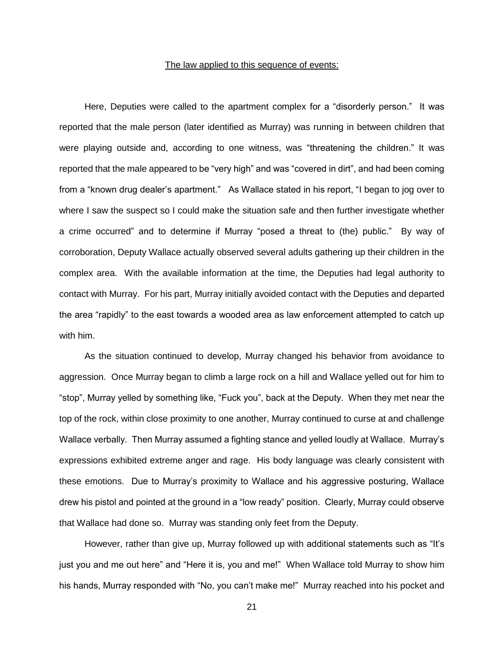# The law applied to this sequence of events:

 Here, Deputies were called to the apartment complex for a "disorderly person." It was reported that the male person (later identified as Murray) was running in between children that were playing outside and, according to one witness, was "threatening the children." It was reported that the male appeared to be "very high" and was "covered in dirt", and had been coming from a "known drug dealer's apartment." As Wallace stated in his report, "I began to jog over to where I saw the suspect so I could make the situation safe and then further investigate whether a crime occurred" and to determine if Murray "posed a threat to (the) public." By way of corroboration, Deputy Wallace actually observed several adults gathering up their children in the complex area. With the available information at the time, the Deputies had legal authority to contact with Murray. For his part, Murray initially avoided contact with the Deputies and departed the area "rapidly" to the east towards a wooded area as law enforcement attempted to catch up with him.

 As the situation continued to develop, Murray changed his behavior from avoidance to aggression. Once Murray began to climb a large rock on a hill and Wallace yelled out for him to "stop", Murray yelled by something like, "Fuck you", back at the Deputy. When they met near the top of the rock, within close proximity to one another, Murray continued to curse at and challenge Wallace verbally. Then Murray assumed a fighting stance and yelled loudly at Wallace. Murray's expressions exhibited extreme anger and rage. His body language was clearly consistent with these emotions. Due to Murray's proximity to Wallace and his aggressive posturing, Wallace drew his pistol and pointed at the ground in a "low ready" position. Clearly, Murray could observe that Wallace had done so. Murray was standing only feet from the Deputy.

 However, rather than give up, Murray followed up with additional statements such as "It's just you and me out here" and "Here it is, you and me!" When Wallace told Murray to show him his hands, Murray responded with "No, you can't make me!" Murray reached into his pocket and